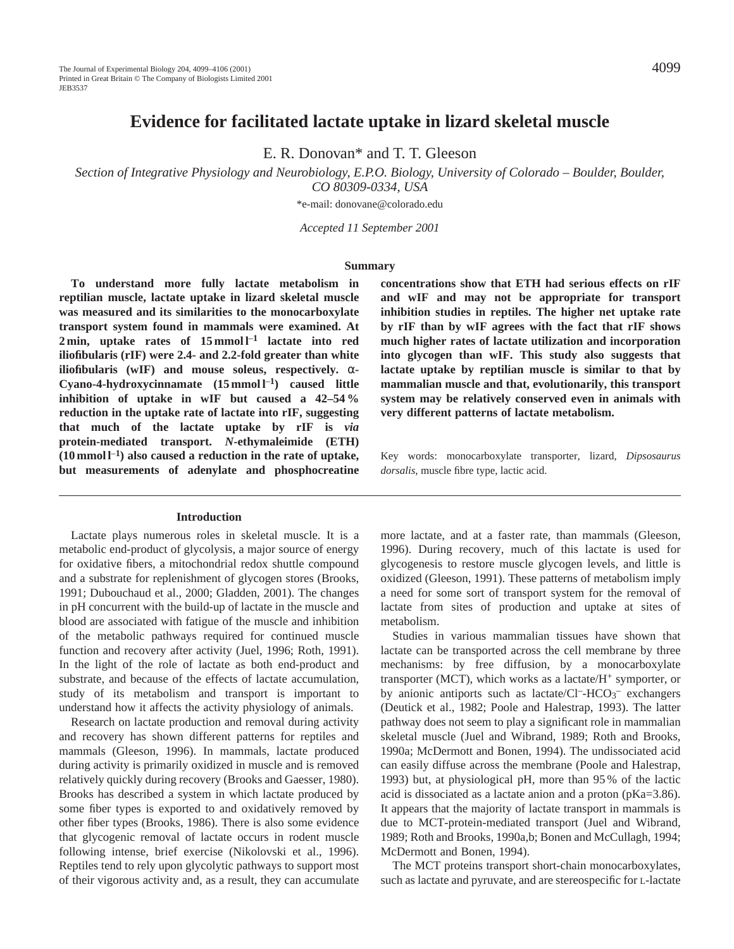E. R. Donovan\* and T. T. Gleeson

*Section of Integrative Physiology and Neurobiology, E.P.O. Biology, University of Colorado – Boulder, Boulder, CO 80309-0334, USA*

\*e-mail: donovane@colorado.edu

*Accepted 11 September 2001*

#### **Summary**

**To understand more fully lactate metabolism in reptilian muscle, lactate uptake in lizard skeletal muscle was measured and its similarities to the monocarboxylate transport system found in mammals were examined. At 2 min, uptake rates of 15 mmol l**–**<sup>1</sup> lactate into red iliofibularis (rIF) were 2.4- and 2.2-fold greater than white iliofibularis (wIF) and mouse soleus, respectively.** α**-Cyano-4-hydroxycinnamate (15 mmol l**–**1) caused little inhibition of uptake in wIF but caused a 42–54 % reduction in the uptake rate of lactate into rIF, suggesting that much of the lactate uptake by rIF is** *via* **protein-mediated transport.** *N***-ethymaleimide (ETH) (10 mmol l**–**1) also caused a reduction in the rate of uptake, but measurements of adenylate and phosphocreatine**

#### **Introduction**

Lactate plays numerous roles in skeletal muscle. It is a metabolic end-product of glycolysis, a major source of energy for oxidative fibers, a mitochondrial redox shuttle compound and a substrate for replenishment of glycogen stores (Brooks, 1991; Dubouchaud et al., 2000; Gladden, 2001). The changes in pH concurrent with the build-up of lactate in the muscle and blood are associated with fatigue of the muscle and inhibition of the metabolic pathways required for continued muscle function and recovery after activity (Juel, 1996; Roth, 1991). In the light of the role of lactate as both end-product and substrate, and because of the effects of lactate accumulation, study of its metabolism and transport is important to understand how it affects the activity physiology of animals.

Research on lactate production and removal during activity and recovery has shown different patterns for reptiles and mammals (Gleeson, 1996). In mammals, lactate produced during activity is primarily oxidized in muscle and is removed relatively quickly during recovery (Brooks and Gaesser, 1980). Brooks has described a system in which lactate produced by some fiber types is exported to and oxidatively removed by other fiber types (Brooks, 1986). There is also some evidence that glycogenic removal of lactate occurs in rodent muscle following intense, brief exercise (Nikolovski et al., 1996). Reptiles tend to rely upon glycolytic pathways to support most of their vigorous activity and, as a result, they can accumulate

**concentrations show that ETH had serious effects on rIF and wIF and may not be appropriate for transport inhibition studies in reptiles. The higher net uptake rate by rIF than by wIF agrees with the fact that rIF shows much higher rates of lactate utilization and incorporation into glycogen than wIF. This study also suggests that lactate uptake by reptilian muscle is similar to that by mammalian muscle and that, evolutionarily, this transport system may be relatively conserved even in animals with very different patterns of lactate metabolism.**

Key words: monocarboxylate transporter, lizard, *Dipsosaurus dorsalis*, muscle fibre type, lactic acid.

more lactate, and at a faster rate, than mammals (Gleeson, 1996). During recovery, much of this lactate is used for glycogenesis to restore muscle glycogen levels, and little is oxidized (Gleeson, 1991). These patterns of metabolism imply a need for some sort of transport system for the removal of lactate from sites of production and uptake at sites of metabolism.

Studies in various mammalian tissues have shown that lactate can be transported across the cell membrane by three mechanisms: by free diffusion, by a monocarboxylate transporter (MCT), which works as a lactate/ $H^+$  symporter, or by anionic antiports such as lactate/Cl<sup>-</sup>-HCO<sub>3</sub><sup>-</sup> exchangers (Deutick et al., 1982; Poole and Halestrap, 1993). The latter pathway does not seem to play a significant role in mammalian skeletal muscle (Juel and Wibrand, 1989; Roth and Brooks, 1990a; McDermott and Bonen, 1994). The undissociated acid can easily diffuse across the membrane (Poole and Halestrap, 1993) but, at physiological pH, more than 95 % of the lactic acid is dissociated as a lactate anion and a proton (pKa=3.86). It appears that the majority of lactate transport in mammals is due to MCT-protein-mediated transport (Juel and Wibrand, 1989; Roth and Brooks, 1990a,b; Bonen and McCullagh, 1994; McDermott and Bonen, 1994).

The MCT proteins transport short-chain monocarboxylates, such as lactate and pyruvate, and are stereospecific for L-lactate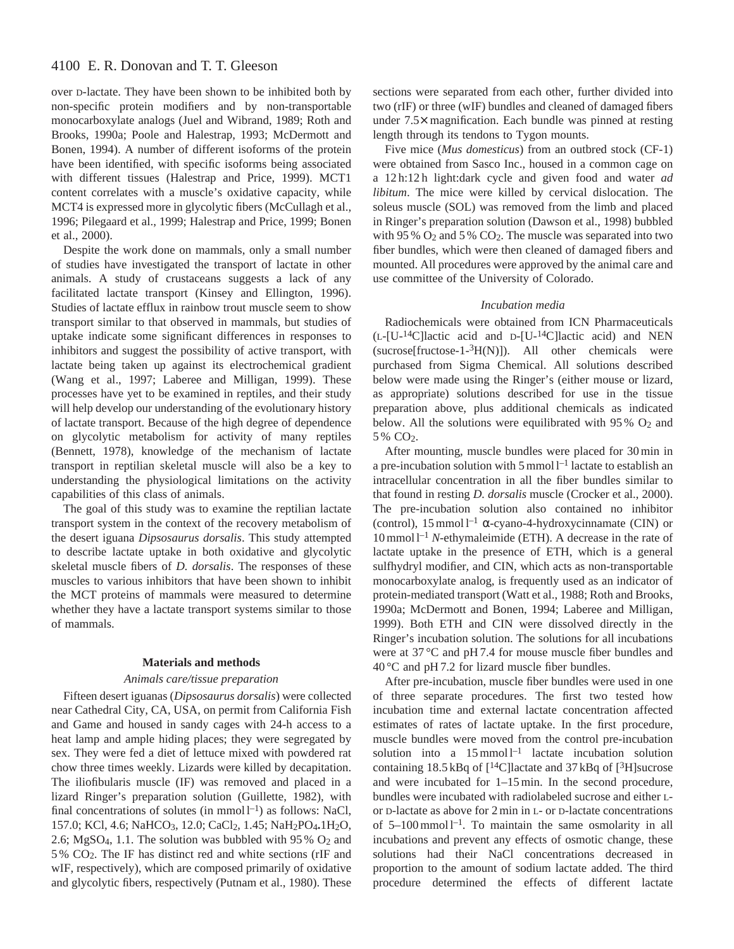# 4100 E. R. Donovan and T. T. Gleeson

over D-lactate. They have been shown to be inhibited both by non-specific protein modifiers and by non-transportable monocarboxylate analogs (Juel and Wibrand, 1989; Roth and Brooks, 1990a; Poole and Halestrap, 1993; McDermott and Bonen, 1994). A number of different isoforms of the protein have been identified, with specific isoforms being associated with different tissues (Halestrap and Price, 1999). MCT1 content correlates with a muscle's oxidative capacity, while MCT4 is expressed more in glycolytic fibers (McCullagh et al., 1996; Pilegaard et al., 1999; Halestrap and Price, 1999; Bonen et al., 2000).

Despite the work done on mammals, only a small number of studies have investigated the transport of lactate in other animals. A study of crustaceans suggests a lack of any facilitated lactate transport (Kinsey and Ellington, 1996). Studies of lactate efflux in rainbow trout muscle seem to show transport similar to that observed in mammals, but studies of uptake indicate some significant differences in responses to inhibitors and suggest the possibility of active transport, with lactate being taken up against its electrochemical gradient (Wang et al., 1997; Laberee and Milligan, 1999). These processes have yet to be examined in reptiles, and their study will help develop our understanding of the evolutionary history of lactate transport. Because of the high degree of dependence on glycolytic metabolism for activity of many reptiles (Bennett, 1978), knowledge of the mechanism of lactate transport in reptilian skeletal muscle will also be a key to understanding the physiological limitations on the activity capabilities of this class of animals.

The goal of this study was to examine the reptilian lactate transport system in the context of the recovery metabolism of the desert iguana *Dipsosaurus dorsalis*. This study attempted to describe lactate uptake in both oxidative and glycolytic skeletal muscle fibers of *D. dorsalis*. The responses of these muscles to various inhibitors that have been shown to inhibit the MCT proteins of mammals were measured to determine whether they have a lactate transport systems similar to those of mammals.

### **Materials and methods**

## *Animals care/tissue preparation*

Fifteen desert iguanas (*Dipsosaurus dorsalis*) were collected near Cathedral City, CA, USA, on permit from California Fish and Game and housed in sandy cages with 24-h access to a heat lamp and ample hiding places; they were segregated by sex. They were fed a diet of lettuce mixed with powdered rat chow three times weekly. Lizards were killed by decapitation. The iliofibularis muscle (IF) was removed and placed in a lizard Ringer's preparation solution (Guillette, 1982), with final concentrations of solutes (in mmol  $l^{-1}$ ) as follows: NaCl, 157.0; KCl, 4.6; NaHCO3, 12.0; CaCl2, 1.45; NaH2PO4**.**1H2O, 2.6; MgSO<sub>4</sub>, 1.1. The solution was bubbled with  $95\%$  O<sub>2</sub> and 5 % CO2. The IF has distinct red and white sections (rIF and wIF, respectively), which are composed primarily of oxidative and glycolytic fibers, respectively (Putnam et al., 1980). These

sections were separated from each other, further divided into two (rIF) or three (wIF) bundles and cleaned of damaged fibers under 7.5× magnification. Each bundle was pinned at resting length through its tendons to Tygon mounts.

Five mice (*Mus domesticus*) from an outbred stock (CF-1) were obtained from Sasco Inc., housed in a common cage on a 12 h:12 h light:dark cycle and given food and water *ad libitum*. The mice were killed by cervical dislocation. The soleus muscle (SOL) was removed from the limb and placed in Ringer's preparation solution (Dawson et al., 1998) bubbled with 95 % O<sub>2</sub> and 5 % CO<sub>2</sub>. The muscle was separated into two fiber bundles, which were then cleaned of damaged fibers and mounted. All procedures were approved by the animal care and use committee of the University of Colorado.

## *Incubation media*

Radiochemicals were obtained from ICN Pharmaceuticals (L-[U-14C]lactic acid and D-[U-14C]lactic acid) and NEN  $(sucrose[fructose-1-<sup>3</sup>H(N)])$ . All other chemicals were purchased from Sigma Chemical. All solutions described below were made using the Ringer's (either mouse or lizard, as appropriate) solutions described for use in the tissue preparation above, plus additional chemicals as indicated below. All the solutions were equilibrated with  $95\%$  O<sub>2</sub> and 5 % CO<sub>2</sub>.

After mounting, muscle bundles were placed for 30 min in a pre-incubation solution with  $5 \text{ mmol } 1^{-1}$  lactate to establish an intracellular concentration in all the fiber bundles similar to that found in resting *D. dorsalis* muscle (Crocker et al., 2000). The pre-incubation solution also contained no inhibitor (control), 15 mmol l–1 α-cyano-4-hydroxycinnamate (CIN) or 10 mmol l–1 *N*-ethymaleimide (ETH). A decrease in the rate of lactate uptake in the presence of ETH, which is a general sulfhydryl modifier, and CIN, which acts as non-transportable monocarboxylate analog, is frequently used as an indicator of protein-mediated transport (Watt et al., 1988; Roth and Brooks, 1990a; McDermott and Bonen, 1994; Laberee and Milligan, 1999). Both ETH and CIN were dissolved directly in the Ringer's incubation solution. The solutions for all incubations were at 37 °C and pH 7.4 for mouse muscle fiber bundles and 40 °C and pH 7.2 for lizard muscle fiber bundles.

After pre-incubation, muscle fiber bundles were used in one of three separate procedures. The first two tested how incubation time and external lactate concentration affected estimates of rates of lactate uptake. In the first procedure, muscle bundles were moved from the control pre-incubation solution into a  $15$  mmol  $l^{-1}$  lactate incubation solution containing 18.5 kBq of  $[{}^{14}$ C]lactate and 37 kBq of  $[{}^{3}$ H]sucrose and were incubated for 1–15 min. In the second procedure, bundles were incubated with radiolabeled sucrose and either Lor D-lactate as above for 2 min in L- or D-lactate concentrations of  $5-100$  mmol  $1^{-1}$ . To maintain the same osmolarity in all incubations and prevent any effects of osmotic change, these solutions had their NaCl concentrations decreased in proportion to the amount of sodium lactate added. The third procedure determined the effects of different lactate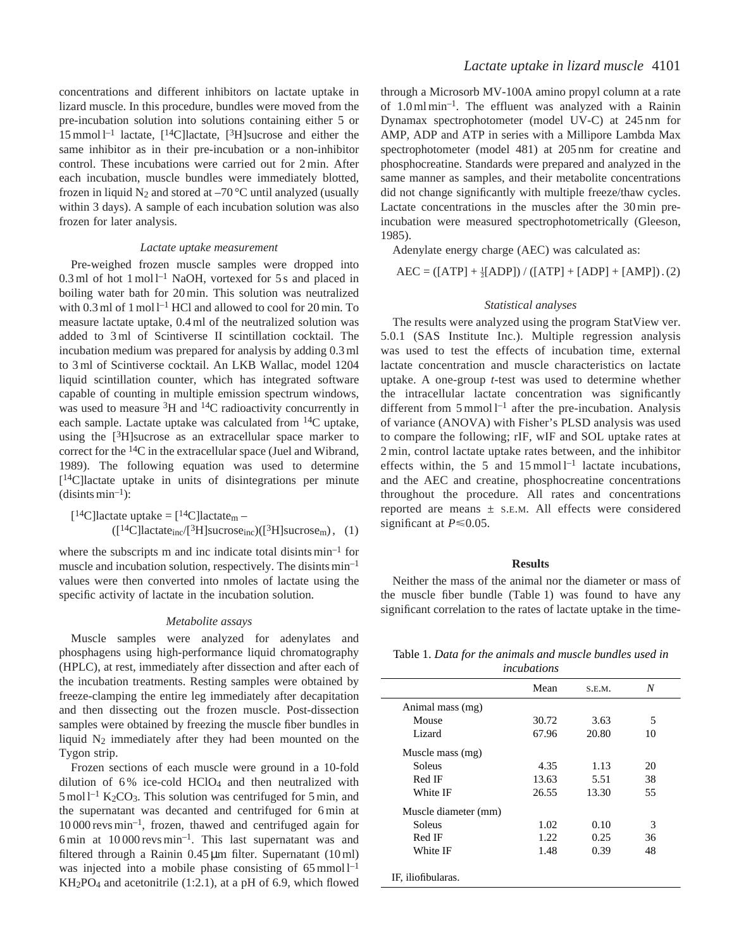concentrations and different inhibitors on lactate uptake in lizard muscle. In this procedure, bundles were moved from the pre-incubation solution into solutions containing either 5 or 15 mmol  $1^{-1}$  lactate,  $1^{14}$ C lactate,  $1^{3}$ H sucrose and either the same inhibitor as in their pre-incubation or a non-inhibitor control. These incubations were carried out for 2 min. After each incubation, muscle bundles were immediately blotted, frozen in liquid  $N_2$  and stored at  $-70$  °C until analyzed (usually within 3 days). A sample of each incubation solution was also frozen for later analysis.

#### *Lactate uptake measurement*

Pre-weighed frozen muscle samples were dropped into  $0.3$  ml of hot 1 mol  $1^{-1}$  NaOH, vortexed for 5 s and placed in boiling water bath for 20 min. This solution was neutralized with 0.3 ml of 1 mol  $l^{-1}$  HCl and allowed to cool for 20 min. To measure lactate uptake, 0.4 ml of the neutralized solution was added to 3 ml of Scintiverse II scintillation cocktail. The incubation medium was prepared for analysis by adding 0.3 ml to 3 ml of Scintiverse cocktail. An LKB Wallac, model 1204 liquid scintillation counter, which has integrated software capable of counting in multiple emission spectrum windows, was used to measure 3H and 14C radioactivity concurrently in each sample. Lactate uptake was calculated from 14C uptake, using the  $[3H]$  sucrose as an extracellular space marker to correct for the 14C in the extracellular space (Juel and Wibrand, 1989). The following equation was used to determine [14C]lactate uptake in units of disintegrations per minute  $(disints min<sup>-1</sup>):$ 

$$
[{}^{14}C]\text{lactate uptake} = [{}^{14}C]\text{lactate_m} -
$$

$$
([{}^{14}C]\text{lactate_{inc} / [{}^{3}H]\text{successe}_{inc})([{}^{3}H]\text{successe}_m), (1)
$$

where the subscripts m and inc indicate total disints min–1 for muscle and incubation solution, respectively. The disints min–1 values were then converted into nmoles of lactate using the specific activity of lactate in the incubation solution.

#### *Metabolite assays*

Muscle samples were analyzed for adenylates and phosphagens using high-performance liquid chromatography (HPLC), at rest, immediately after dissection and after each of the incubation treatments. Resting samples were obtained by freeze-clamping the entire leg immediately after decapitation and then dissecting out the frozen muscle. Post-dissection samples were obtained by freezing the muscle fiber bundles in liquid  $N_2$  immediately after they had been mounted on the Tygon strip.

Frozen sections of each muscle were ground in a 10-fold dilution of  $6\%$  ice-cold HClO<sub>4</sub> and then neutralized with  $5 \text{ mol}$ <sup>-1</sup> K<sub>2</sub>CO<sub>3</sub>. This solution was centrifuged for 5 min, and the supernatant was decanted and centrifuged for 6 min at 10 000 revs min–1, frozen, thawed and centrifuged again for 6 min at  $10000$  revs min<sup>-1</sup>. This last supernatant was and filtered through a Rainin  $0.45 \,\mathrm{\upmu m}$  filter. Supernatant  $(10 \,\mathrm{ml})$ was injected into a mobile phase consisting of  $65$  mmol  $l^{-1}$ KH2PO4 and acetonitrile (1:2.1), at a pH of 6.9, which flowed

through a Microsorb MV-100A amino propyl column at a rate of  $1.0 \text{ ml min}^{-1}$ . The effluent was analyzed with a Rainin Dynamax spectrophotometer (model UV-C) at 245 nm for AMP, ADP and ATP in series with a Millipore Lambda Max spectrophotometer (model 481) at 205 nm for creatine and phosphocreatine. Standards were prepared and analyzed in the same manner as samples, and their metabolite concentrations did not change significantly with multiple freeze/thaw cycles. Lactate concentrations in the muscles after the 30 min preincubation were measured spectrophotometrically (Gleeson, 1985).

Adenylate energy charge (AEC) was calculated as:

 $AEC = (\text{[ATP]} + \frac{1}{2}[\text{ADP}]) / ((\text{ATP]} + [\text{ADP}] + [\text{AMP}].(2)$ 

#### *Statistical analyses*

The results were analyzed using the program StatView ver. 5.0.1 (SAS Institute Inc.). Multiple regression analysis was used to test the effects of incubation time, external lactate concentration and muscle characteristics on lactate uptake. A one-group *t*-test was used to determine whether the intracellular lactate concentration was significantly different from  $5 \text{ mmol } l^{-1}$  after the pre-incubation. Analysis of variance (ANOVA) with Fisher's PLSD analysis was used to compare the following; rIF, wIF and SOL uptake rates at 2 min, control lactate uptake rates between, and the inhibitor effects within, the 5 and  $15$  mmol  $l^{-1}$  lactate incubations, and the AEC and creatine, phosphocreatine concentrations throughout the procedure. All rates and concentrations reported are means ± S.E.M. All effects were considered significant at  $P \le 0.05$ .

#### **Results**

Neither the mass of the animal nor the diameter or mass of the muscle fiber bundle (Table 1) was found to have any significant correlation to the rates of lactate uptake in the time-

Table 1. *Data for the animals and muscle bundles used in incubations*

|                      | Mean  | S.E.M. | N  |  |
|----------------------|-------|--------|----|--|
| Animal mass (mg)     |       |        |    |  |
| Mouse                | 30.72 | 3.63   | 5  |  |
| Lizard               | 67.96 | 20.80  | 10 |  |
| Muscle mass (mg)     |       |        |    |  |
| Soleus               | 4.35  | 1.13   | 20 |  |
| Red IF               | 13.63 | 5.51   | 38 |  |
| White IF             | 26.55 | 13.30  | 55 |  |
| Muscle diameter (mm) |       |        |    |  |
| Soleus               | 1.02  | 0.10   | 3  |  |
| Red IF               | 1.22  | 0.25   | 36 |  |
| White IF             | 1.48  | 0.39   | 48 |  |
| IF, iliofibularas.   |       |        |    |  |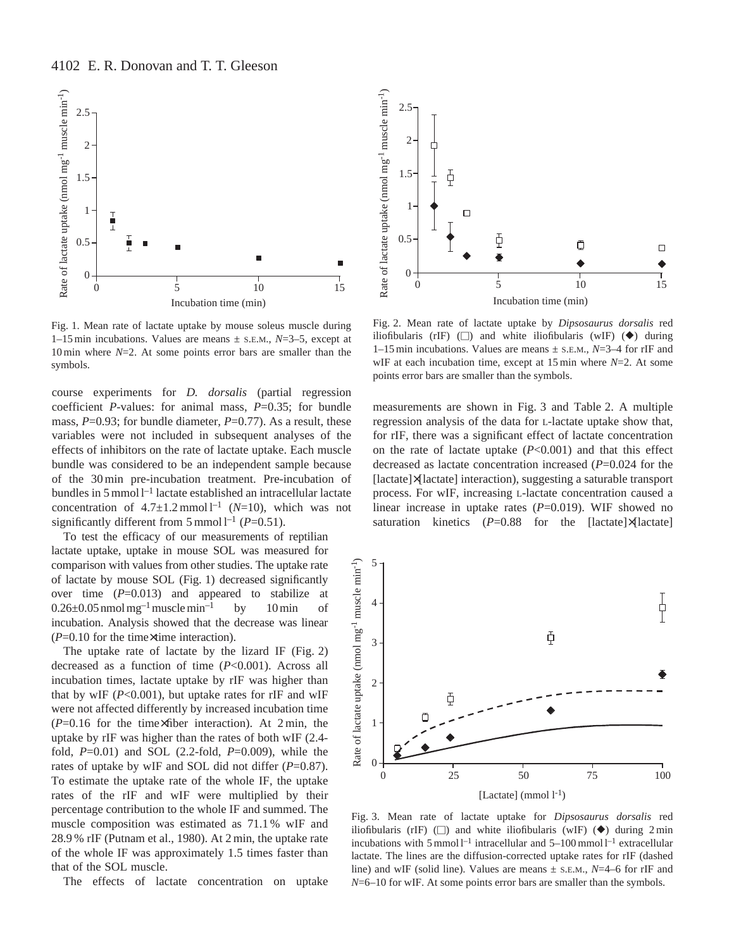

Fig. 1. Mean rate of lactate uptake by mouse soleus muscle during 1–15 min incubations. Values are means ± S.E.M., *N*=3–5, except at 10 min where *N*=2. At some points error bars are smaller than the symbols.

course experiments for *D. dorsalis* (partial regression coefficient *P*-values: for animal mass, *P*=0.35; for bundle mass, *P*=0.93; for bundle diameter, *P*=0.77). As a result, these variables were not included in subsequent analyses of the effects of inhibitors on the rate of lactate uptake. Each muscle bundle was considered to be an independent sample because of the 30 min pre-incubation treatment. Pre-incubation of bundles in 5 mmol  $l^{-1}$  lactate established an intracellular lactate concentration of  $4.7 \pm 1.2$  mmol<sup>1-1</sup> (*N*=10), which was not significantly different from 5 mmol  $l^{-1}$  ( $P=0.51$ ).

To test the efficacy of our measurements of reptilian lactate uptake, uptake in mouse SOL was measured for comparison with values from other studies. The uptake rate of lactate by mouse SOL (Fig. 1) decreased significantly over time  $(P=0.013)$  and appeared to stabilize at  $0.26\pm0.05$  nmol mg<sup>-1</sup> muscle min<sup>-1</sup> by 10 min of incubation. Analysis showed that the decrease was linear (*P*=0.10 for the time×time interaction).

The uptake rate of lactate by the lizard IF (Fig. 2) decreased as a function of time (*P*<0.001). Across all incubation times, lactate uptake by rIF was higher than that by wIF  $(P<0.001)$ , but uptake rates for rIF and wIF were not affected differently by increased incubation time (*P*=0.16 for the time×fiber interaction). At 2 min, the uptake by rIF was higher than the rates of both wIF (2.4 fold, *P*=0.01) and SOL (2.2-fold, *P*=0.009), while the rates of uptake by wIF and SOL did not differ (*P*=0.87). To estimate the uptake rate of the whole IF, the uptake rates of the rIF and wIF were multiplied by their percentage contribution to the whole IF and summed. The muscle composition was estimated as 71.1 % wIF and 28.9 % rIF (Putnam et al., 1980). At 2 min, the uptake rate of the whole IF was approximately 1.5 times faster than that of the SOL muscle.

The effects of lactate concentration on uptake



Fig. 2. Mean rate of lactate uptake by *Dipsosaurus dorsalis* red iliofibularis (rIF)  $(\Box)$  and white iliofibularis (wIF)  $(\blacklozenge)$  during 1–15 min incubations. Values are means ± S.E.M., *N*=3–4 for rIF and wIF at each incubation time, except at 15 min where *N*=2. At some points error bars are smaller than the symbols.

measurements are shown in Fig. 3 and Table 2. A multiple regression analysis of the data for L-lactate uptake show that, for rIF, there was a significant effect of lactate concentration on the rate of lactate uptake (*P*<0.001) and that this effect decreased as lactate concentration increased (*P*=0.024 for the [lactate]×[lactate] interaction), suggesting a saturable transport process. For wIF, increasing L-lactate concentration caused a linear increase in uptake rates ( $P=0.019$ ). WIF showed no saturation kinetics (*P*=0.88 for the [lactate]×[lactate]



Fig. 3. Mean rate of lactate uptake for *Dipsosaurus dorsalis* red iliofibularis (rIF)  $\Box$ ) and white iliofibularis (wIF)  $\Diamond$ ) during 2 min incubations with 5 mmol  $l^{-1}$  intracellular and 5–100 mmol  $l^{-1}$  extracellular lactate. The lines are the diffusion-corrected uptake rates for rIF (dashed line) and wIF (solid line). Values are means ± S.E.M., *N*=4–6 for rIF and *N*=6–10 for wIF. At some points error bars are smaller than the symbols.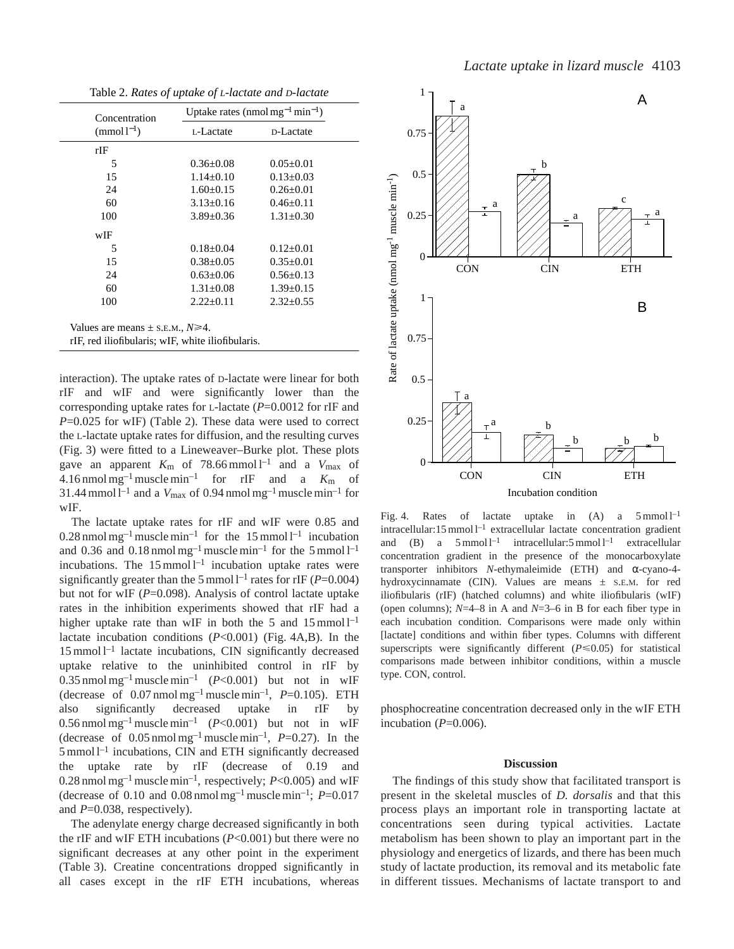|  |  |  |  |  |  |  | Table 2. Rates of uptake of L-lactate and D-lactate |
|--|--|--|--|--|--|--|-----------------------------------------------------|
|--|--|--|--|--|--|--|-----------------------------------------------------|

| Concentration                                                                                   | Uptake rates (nmol mg <sup>-1</sup> min <sup>-1</sup> ) |                 |  |  |
|-------------------------------------------------------------------------------------------------|---------------------------------------------------------|-----------------|--|--|
| $(mmol^{-1})$                                                                                   | L-Lactate                                               | D-Lactate       |  |  |
| rIF                                                                                             |                                                         |                 |  |  |
| 5                                                                                               | $0.36 + 0.08$                                           | $0.05 + 0.01$   |  |  |
| 15                                                                                              | $1.14 + 0.10$                                           | $0.13 + 0.03$   |  |  |
| 24                                                                                              | $1.60+0.15$                                             | $0.26 + 0.01$   |  |  |
| 60                                                                                              | $3.13 + 0.16$                                           | $0.46 + 0.11$   |  |  |
| 100                                                                                             | $3.89 \pm 0.36$                                         | $1.31 \pm 0.30$ |  |  |
| wIF                                                                                             |                                                         |                 |  |  |
| 5                                                                                               | $0.18 + 0.04$                                           | $0.12 + 0.01$   |  |  |
| 15                                                                                              | $0.38 \pm 0.05$                                         | $0.35 \pm 0.01$ |  |  |
| 24                                                                                              | $0.63 + 0.06$                                           | $0.56 + 0.13$   |  |  |
| 60                                                                                              | $1.31 + 0.08$                                           | $1.39 \pm 0.15$ |  |  |
| 100                                                                                             | $2.22+0.11$                                             | $2.32+0.55$     |  |  |
| Values are means $\pm$ s.e.m., $N \ge 4$ .<br>rIF, red iliofibularis; wIF, white iliofibularis. |                                                         |                 |  |  |

interaction). The uptake rates of D-lactate were linear for both rIF and wIF and were significantly lower than the corresponding uptake rates for L-lactate (*P*=0.0012 for rIF and *P*=0.025 for wIF) (Table 2). These data were used to correct the L-lactate uptake rates for diffusion, and the resulting curves (Fig. 3) were fitted to a Lineweaver–Burke plot. These plots gave an apparent  $K_m$  of 78.66 mmol  $l^{-1}$  and a  $V_{\text{max}}$  of  $4.16$  nmol mg<sup>-1</sup> muscle min<sup>-1</sup> for rIF and a  $K<sub>m</sub>$  of  $31.44$  mmol l<sup>-1</sup> and a  $V_{\text{max}}$  of 0.94 nmol mg<sup>-1</sup> muscle min<sup>-1</sup> for wIF.

The lactate uptake rates for rIF and wIF were 0.85 and  $0.28$  nmol mg<sup>-1</sup> muscle min<sup>-1</sup> for the 15 mmol l<sup>-1</sup> incubation and 0.36 and 0.18 nmol  $mg^{-1}$  muscle min<sup>-1</sup> for the 5 mmol  $1^{-1}$ incubations. The  $15$  mmol  $l^{-1}$  incubation uptake rates were significantly greater than the 5 mmol  $l^{-1}$  rates for rIF ( $P=0.004$ ) but not for wIF (*P*=0.098). Analysis of control lactate uptake rates in the inhibition experiments showed that rIF had a higher uptake rate than wIF in both the 5 and  $15$  mmol  $l^{-1}$ lactate incubation conditions (*P*<0.001) (Fig. 4A,B). In the  $15$  mmol  $l^{-1}$  lactate incubations, CIN significantly decreased uptake relative to the uninhibited control in rIF by 0.35 nmol mg<sup>-1</sup> muscle min<sup>-1</sup>  $(P<0.001)$  but not in WIF (decrease of  $0.07$  nmol mg<sup>-1</sup> muscle min<sup>-1</sup>,  $P=0.105$ ). ETH also significantly decreased uptake in rIF by 0.56 nmol mg<sup>-1</sup> muscle min<sup>-1</sup>  $(P<0.001)$  but not in wIF (decrease of  $0.05$  nmol mg<sup>-1</sup> muscle min<sup>-1</sup>,  $P=0.27$ ). In the 5 mmol l–1 incubations, CIN and ETH significantly decreased the uptake rate by rIF (decrease of 0.19 and 0.28 nmol mg<sup>-1</sup> muscle min<sup>-1</sup>, respectively;  $P<0.005$ ) and wIF (decrease of 0.10 and 0.08 nmol mg<sup>-1</sup> muscle min<sup>-1</sup>;  $P=0.017$ and *P*=0.038, respectively).

The adenylate energy charge decreased significantly in both the rIF and wIF ETH incubations (*P*<0.001) but there were no significant decreases at any other point in the experiment (Table 3). Creatine concentrations dropped significantly in all cases except in the rIF ETH incubations, whereas



Fig. 4. Rates of lactate uptake in  $(A)$  a  $5 \text{ mmol } 1^{-1}$  $intractallular:15 mmol<sup>1</sup> extracellular lactate concentration gradient$ and (B) a  $5 \text{ mmol } l^{-1}$  intracellular:  $5 \text{ mmol } l^{-1}$  extracellular concentration gradient in the presence of the monocarboxylate transporter inhibitors *N*-ethymaleimide (ETH) and α-cyano-4 hydroxycinnamate (CIN). Values are means ± S.E.M. for red iliofibularis (rIF) (hatched columns) and white iliofibularis (wIF) (open columns); *N*=4–8 in A and *N*=3–6 in B for each fiber type in each incubation condition. Comparisons were made only within [lactate] conditions and within fiber types. Columns with different superscripts were significantly different  $(P \le 0.05)$  for statistical comparisons made between inhibitor conditions, within a muscle type. CON, control.

phosphocreatine concentration decreased only in the wIF ETH incubation  $(P=0.006)$ .

## **Discussion**

The findings of this study show that facilitated transport is present in the skeletal muscles of *D. dorsalis* and that this process plays an important role in transporting lactate at concentrations seen during typical activities. Lactate metabolism has been shown to play an important part in the physiology and energetics of lizards, and there has been much study of lactate production, its removal and its metabolic fate in different tissues. Mechanisms of lactate transport to and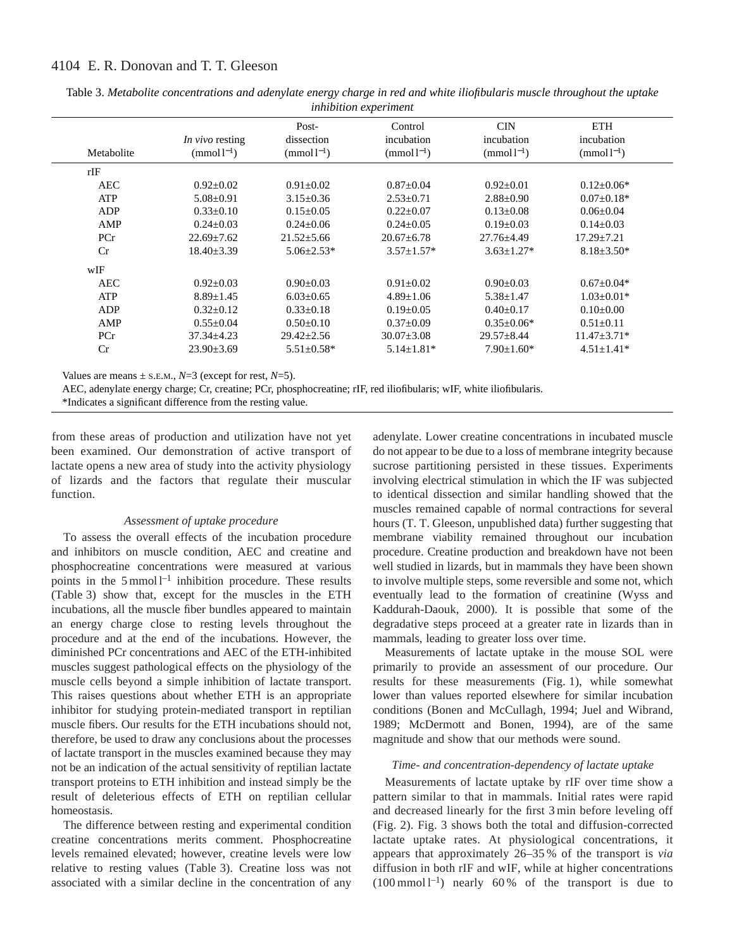# 4104 E. R. Donovan and T. T. Gleeson

|            |                                  | Post-                    | Control                            | <b>CIN</b>                  | <b>ETH</b>                   |
|------------|----------------------------------|--------------------------|------------------------------------|-----------------------------|------------------------------|
| Metabolite | In vivo resting<br>$(mmol^{-1})$ | dissection<br>$(mmol-1)$ | incubation<br>(mmol <sup>1</sup> ) | incubation<br>$(mmol^{-1})$ | incubation<br>$(mmol1^{-1})$ |
|            |                                  |                          |                                    |                             |                              |
| rIF        |                                  |                          |                                    |                             |                              |
| <b>AEC</b> | $0.92 \pm 0.02$                  | $0.91 \pm 0.02$          | $0.87 \pm 0.04$                    | $0.92 \pm 0.01$             | $0.12 \pm 0.06*$             |
| <b>ATP</b> | $5.08 \pm 0.91$                  | $3.15 \pm 0.36$          | $2.53 \pm 0.71$                    | $2.88 \pm 0.90$             | $0.07 \pm 0.18*$             |
| ADP        | $0.33 \pm 0.10$                  | $0.15 \pm 0.05$          | $0.22 \pm 0.07$                    | $0.13 \pm 0.08$             | $0.06 \pm 0.04$              |
| AMP        | $0.24 \pm 0.03$                  | $0.24 \pm 0.06$          | $0.24 \pm 0.05$                    | $0.19 \pm 0.03$             | $0.14 \pm 0.03$              |
| PCr        | $22.69 \pm 7.62$                 | $21.52 \pm 5.66$         | $20.67 \pm 6.78$                   | $27.76 \pm 4.49$            | $17.29 \pm 7.21$             |
| Cr         | $18.40 \pm 3.39$                 | $5.06 \pm 2.53*$         | $3.57 \pm 1.57*$                   | $3.63 \pm 1.27*$            | $8.18 \pm 3.50*$             |
| wIF        |                                  |                          |                                    |                             |                              |
| <b>AEC</b> | $0.92 \pm 0.03$                  | $0.90 \pm 0.03$          | $0.91 \pm 0.02$                    | $0.90 \pm 0.03$             | $0.67 \pm 0.04*$             |
| ATP        | $8.89 \pm 1.45$                  | $6.03 \pm 0.65$          | $4.89 \pm 1.06$                    | $5.38 \pm 1.47$             | $1.03 \pm 0.01*$             |
| ADP        | $0.32 \pm 0.12$                  | $0.33 \pm 0.18$          | $0.19 \pm 0.05$                    | $0.40 \pm 0.17$             | $0.10\pm0.00$                |
| AMP        | $0.55 \pm 0.04$                  | $0.50 \pm 0.10$          | $0.37 \pm 0.09$                    | $0.35 \pm 0.06*$            | $0.51 \pm 0.11$              |
| PCr        | $37.34 \pm 4.23$                 | $29.42 \pm 2.56$         | $30.07 \pm 3.08$                   | $29.57 \pm 8.44$            | $11.47 \pm 3.71*$            |
| Cr         | $23.90 \pm 3.69$                 | $5.51 \pm 0.58*$         | $5.14 \pm 1.81*$                   | $7.90 \pm 1.60*$            | $4.51 \pm 1.41*$             |

Table 3. *Metabolite concentrations and adenylate energy charge in red and white iliofibularis muscle throughout the uptake inhibition experiment*

Values are means  $\pm$  s.E.M.,  $N=3$  (except for rest,  $N=5$ ).

AEC, adenylate energy charge; Cr, creatine; PCr, phosphocreatine; rIF, red iliofibularis; wIF, white iliofibularis.

\*Indicates a significant difference from the resting value.

from these areas of production and utilization have not yet been examined. Our demonstration of active transport of lactate opens a new area of study into the activity physiology of lizards and the factors that regulate their muscular function.

# *Assessment of uptake procedure*

To assess the overall effects of the incubation procedure and inhibitors on muscle condition, AEC and creatine and phosphocreatine concentrations were measured at various points in the  $5 \text{ mmol } 1^{-1}$  inhibition procedure. These results (Table 3) show that, except for the muscles in the ETH incubations, all the muscle fiber bundles appeared to maintain an energy charge close to resting levels throughout the procedure and at the end of the incubations. However, the diminished PCr concentrations and AEC of the ETH-inhibited muscles suggest pathological effects on the physiology of the muscle cells beyond a simple inhibition of lactate transport. This raises questions about whether ETH is an appropriate inhibitor for studying protein-mediated transport in reptilian muscle fibers. Our results for the ETH incubations should not, therefore, be used to draw any conclusions about the processes of lactate transport in the muscles examined because they may not be an indication of the actual sensitivity of reptilian lactate transport proteins to ETH inhibition and instead simply be the result of deleterious effects of ETH on reptilian cellular homeostasis.

The difference between resting and experimental condition creatine concentrations merits comment. Phosphocreatine levels remained elevated; however, creatine levels were low relative to resting values (Table 3). Creatine loss was not associated with a similar decline in the concentration of any

adenylate. Lower creatine concentrations in incubated muscle do not appear to be due to a loss of membrane integrity because sucrose partitioning persisted in these tissues. Experiments involving electrical stimulation in which the IF was subjected to identical dissection and similar handling showed that the muscles remained capable of normal contractions for several hours (T. T. Gleeson, unpublished data) further suggesting that membrane viability remained throughout our incubation procedure. Creatine production and breakdown have not been well studied in lizards, but in mammals they have been shown to involve multiple steps, some reversible and some not, which eventually lead to the formation of creatinine (Wyss and Kaddurah-Daouk, 2000). It is possible that some of the degradative steps proceed at a greater rate in lizards than in mammals, leading to greater loss over time.

Measurements of lactate uptake in the mouse SOL were primarily to provide an assessment of our procedure. Our results for these measurements (Fig. 1), while somewhat lower than values reported elsewhere for similar incubation conditions (Bonen and McCullagh, 1994; Juel and Wibrand, 1989; McDermott and Bonen, 1994), are of the same magnitude and show that our methods were sound.

# *Time- and concentration-dependency of lactate uptake*

Measurements of lactate uptake by rIF over time show a pattern similar to that in mammals. Initial rates were rapid and decreased linearly for the first 3 min before leveling off (Fig. 2). Fig. 3 shows both the total and diffusion-corrected lactate uptake rates. At physiological concentrations, it appears that approximately 26–35 % of the transport is *via* diffusion in both rIF and wIF, while at higher concentrations  $(100 \text{ mmol } l^{-1})$  nearly 60% of the transport is due to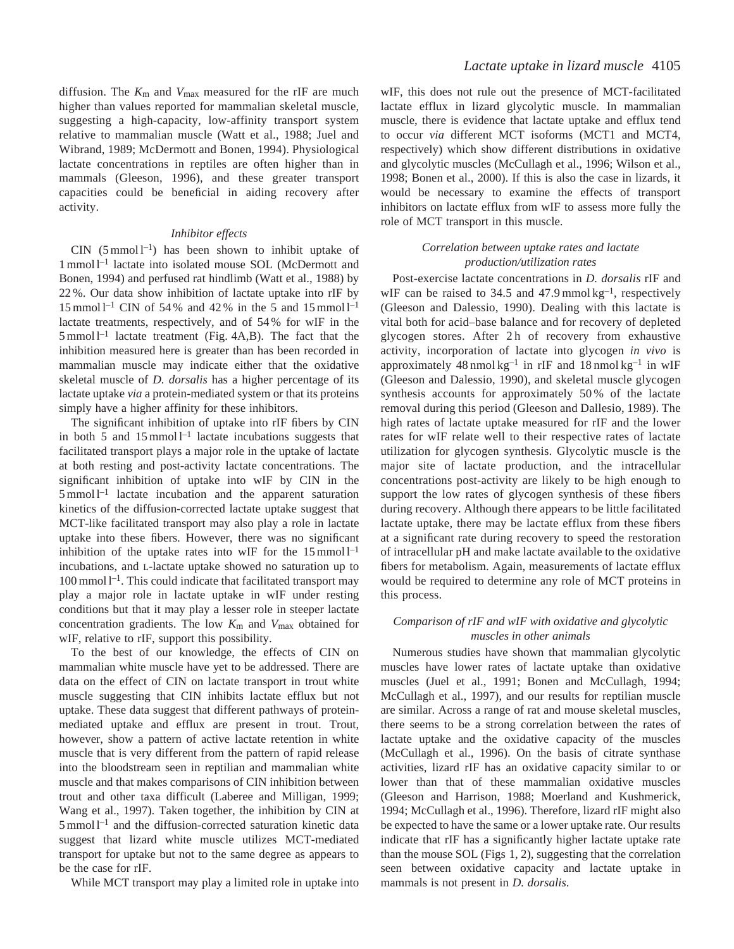diffusion. The *K*m and *V*max measured for the rIF are much higher than values reported for mammalian skeletal muscle, suggesting a high-capacity, low-affinity transport system relative to mammalian muscle (Watt et al., 1988; Juel and Wibrand, 1989; McDermott and Bonen, 1994). Physiological lactate concentrations in reptiles are often higher than in mammals (Gleeson, 1996), and these greater transport capacities could be beneficial in aiding recovery after activity.

## *Inhibitor effects*

 $CIN$  (5 mmol  $l^{-1}$ ) has been shown to inhibit uptake of 1 mmol l–1 lactate into isolated mouse SOL (McDermott and Bonen, 1994) and perfused rat hindlimb (Watt et al., 1988) by 22 %. Our data show inhibition of lactate uptake into rIF by 15 mmol  $1^{-1}$  CIN of 54% and 42% in the 5 and 15 mmol  $1^{-1}$ lactate treatments, respectively, and of 54 % for wIF in the  $5$  mmol  $l^{-1}$  lactate treatment (Fig. 4A,B). The fact that the inhibition measured here is greater than has been recorded in mammalian muscle may indicate either that the oxidative skeletal muscle of *D. dorsalis* has a higher percentage of its lactate uptake *via* a protein-mediated system or that its proteins simply have a higher affinity for these inhibitors.

The significant inhibition of uptake into rIF fibers by CIN in both 5 and  $15$  mmol  $l^{-1}$  lactate incubations suggests that facilitated transport plays a major role in the uptake of lactate at both resting and post-activity lactate concentrations. The significant inhibition of uptake into wIF by CIN in the  $5$  mmol  $1<sup>-1</sup>$  lactate incubation and the apparent saturation kinetics of the diffusion-corrected lactate uptake suggest that MCT-like facilitated transport may also play a role in lactate uptake into these fibers. However, there was no significant inhibition of the uptake rates into wIF for the  $15 \text{ mmol } l^{-1}$ incubations, and L-lactate uptake showed no saturation up to  $100 \,\mathrm{mmol} \, \mathrm{l}^{-1}$ . This could indicate that facilitated transport may play a major role in lactate uptake in wIF under resting conditions but that it may play a lesser role in steeper lactate concentration gradients. The low *K*m and *V*max obtained for wIF, relative to rIF, support this possibility.

To the best of our knowledge, the effects of CIN on mammalian white muscle have yet to be addressed. There are data on the effect of CIN on lactate transport in trout white muscle suggesting that CIN inhibits lactate efflux but not uptake. These data suggest that different pathways of proteinmediated uptake and efflux are present in trout. Trout, however, show a pattern of active lactate retention in white muscle that is very different from the pattern of rapid release into the bloodstream seen in reptilian and mammalian white muscle and that makes comparisons of CIN inhibition between trout and other taxa difficult (Laberee and Milligan, 1999; Wang et al., 1997). Taken together, the inhibition by CIN at  $5 \text{ mmol } l^{-1}$  and the diffusion-corrected saturation kinetic data suggest that lizard white muscle utilizes MCT-mediated transport for uptake but not to the same degree as appears to be the case for rIF.

While MCT transport may play a limited role in uptake into

wIF, this does not rule out the presence of MCT-facilitated lactate efflux in lizard glycolytic muscle. In mammalian muscle, there is evidence that lactate uptake and efflux tend to occur *via* different MCT isoforms (MCT1 and MCT4, respectively) which show different distributions in oxidative and glycolytic muscles (McCullagh et al., 1996; Wilson et al., 1998; Bonen et al., 2000). If this is also the case in lizards, it would be necessary to examine the effects of transport inhibitors on lactate efflux from wIF to assess more fully the role of MCT transport in this muscle.

# *Correlation between uptake rates and lactate production/utilization rates*

Post-exercise lactate concentrations in *D. dorsalis* rIF and wIF can be raised to 34.5 and 47.9 mmol  $kg^{-1}$ , respectively (Gleeson and Dalessio, 1990). Dealing with this lactate is vital both for acid–base balance and for recovery of depleted glycogen stores. After 2h of recovery from exhaustive activity, incorporation of lactate into glycogen *in vivo* is approximately  $48 \text{ nmol kg}^{-1}$  in rIF and  $18 \text{ nmol kg}^{-1}$  in wIF (Gleeson and Dalessio, 1990), and skeletal muscle glycogen synthesis accounts for approximately 50 % of the lactate removal during this period (Gleeson and Dallesio, 1989). The high rates of lactate uptake measured for rIF and the lower rates for wIF relate well to their respective rates of lactate utilization for glycogen synthesis. Glycolytic muscle is the major site of lactate production, and the intracellular concentrations post-activity are likely to be high enough to support the low rates of glycogen synthesis of these fibers during recovery. Although there appears to be little facilitated lactate uptake, there may be lactate efflux from these fibers at a significant rate during recovery to speed the restoration of intracellular pH and make lactate available to the oxidative fibers for metabolism. Again, measurements of lactate efflux would be required to determine any role of MCT proteins in this process.

# *Comparison of rIF and wIF with oxidative and glycolytic muscles in other animals*

Numerous studies have shown that mammalian glycolytic muscles have lower rates of lactate uptake than oxidative muscles (Juel et al., 1991; Bonen and McCullagh, 1994; McCullagh et al., 1997), and our results for reptilian muscle are similar. Across a range of rat and mouse skeletal muscles, there seems to be a strong correlation between the rates of lactate uptake and the oxidative capacity of the muscles (McCullagh et al., 1996). On the basis of citrate synthase activities, lizard rIF has an oxidative capacity similar to or lower than that of these mammalian oxidative muscles (Gleeson and Harrison, 1988; Moerland and Kushmerick, 1994; McCullagh et al., 1996). Therefore, lizard rIF might also be expected to have the same or a lower uptake rate. Our results indicate that rIF has a significantly higher lactate uptake rate than the mouse SOL (Figs 1, 2), suggesting that the correlation seen between oxidative capacity and lactate uptake in mammals is not present in *D. dorsalis*.